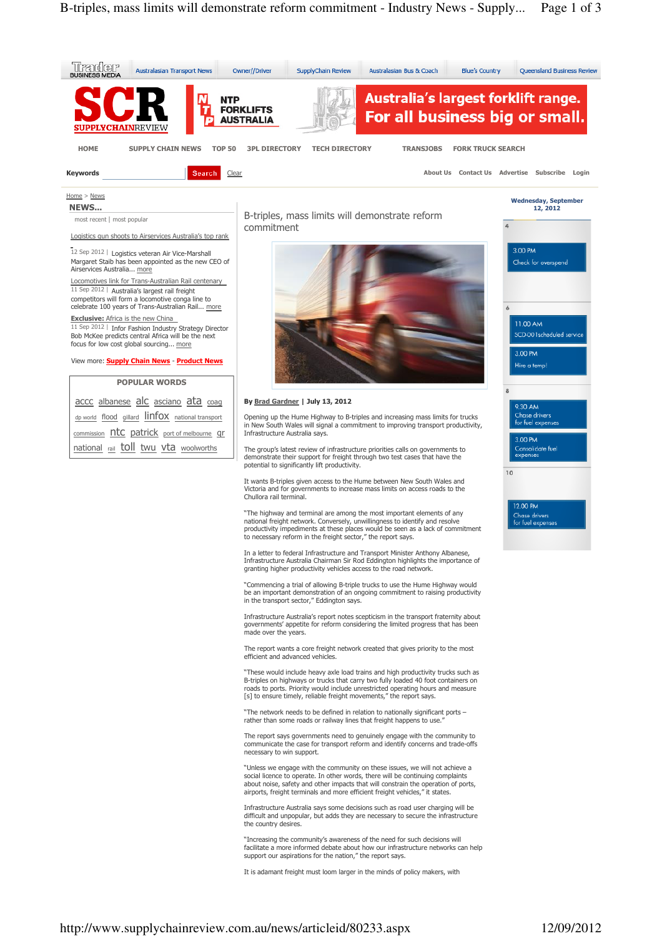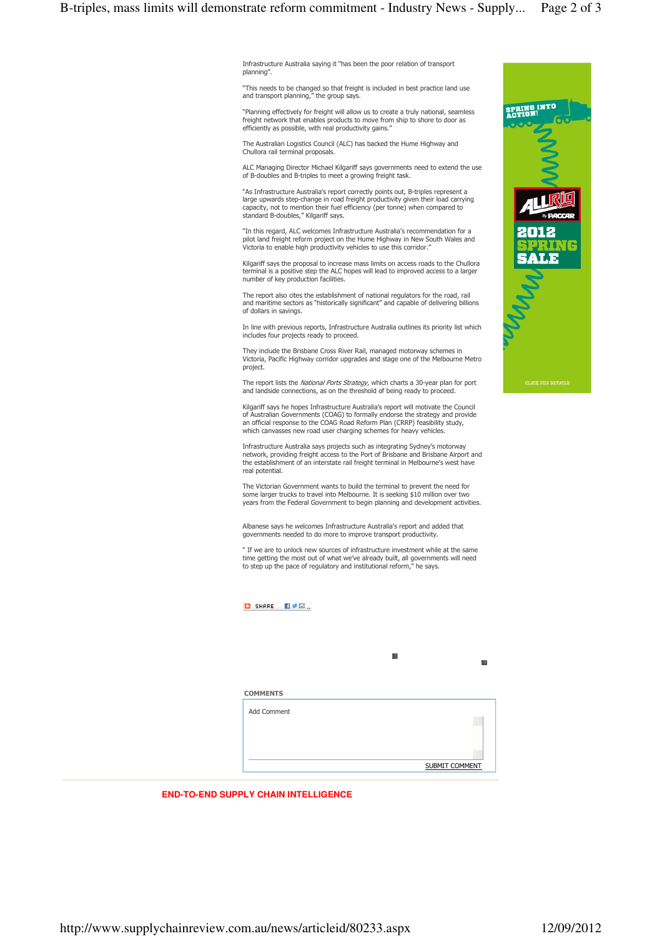Infrastructure Australia saying it "has been the poor relation of transport planning".

"This needs to be changed so that freight is included in best practice land use and transport planning," the group says.

"Planning effectively for freight will allow us to create a truly national, seamless freight network that enables products to move from ship to shore to door as efficiently as possible, with real productivity gains."

The Australian Logistics Council (ALC) has backed the Hume Highway and Chullora rail terminal proposals.

ALC Managing Director Michael Kilgariff says governments need to extend the use of B-doubles and B-triples to meet a growing freight task.

"As Infrastructure Australia's report correctly points out, B-triples represent a large upwards step-change in road freight productivity given their load carrying capacity, not to mention their fuel efficiency (per tonne) when compared to standard B-doubles," Kilgariff says.

"In this regard, ALC welcomes Infrastructure Australia's recommendation for a pilot land freight reform project on the Hume Highway in New South Wales and Victoria to enable high productivity vehicles to use this corridor."

Kilgariff says the proposal to increase mass limits on access roads to the Chullora terminal is a positive step the ALC hopes will lead to improved access to a larger number of key production facilities.

The report also cites the establishment of national regulators for the road, rail and maritime sectors as "historically significant" and capable of delivering billions of dollars in savings.

In line with previous reports, Infrastructure Australia outlines its priority list which includes four projects ready to proceed.

They include the Brisbane Cross River Rail, managed motorway schemes in Victoria, Pacific Highway corridor upgrades and stage one of the Melbourne Metro project.

The report lists the National Ports Strategy, which charts a 30-year plan for port and landside connections, as on the threshold of being ready to proceed.

Kilgariff says he hopes Infrastructure Australia's report will motivate the Council of Australian Governments (COAG) to formally endorse the strategy and provide an official response to the COAG Road Reform Plan (CRRP) feasibility study, which canvasses new road user charging schemes for heavy vehicles.

Infrastructure Australia says projects such as integrating Sydney's motorway network, providing freight access to the Port of Brisbane and Brisbane Airport and the establishment of an interstate rail freight terminal in Melbourne's west have real potential.

The Victorian Government wants to build the terminal to prevent the need for some larger trucks to travel into Melbourne. It is seeking \$10 million over two years from the Federal Government to begin planning and development activities.

Albanese says he welcomes Infrastructure Australia's report and added that governments needed to do more to improve transport productivity.

" If we are to unlock new sources of infrastructure investment while at the same time getting the most out of what we've already built, all governments will need to step up the pace of regulatory and institutional reform," he says.

| SHARE<br>KYØ…<br>o |   |                         |
|--------------------|---|-------------------------|
|                    |   |                         |
|                    |   |                         |
|                    |   |                         |
|                    | N |                         |
|                    |   | $\overline{\mathbf{u}}$ |
|                    |   |                         |
|                    |   |                         |
| <b>COMMENTS</b>    |   |                         |
| Add Comment        |   |                         |
|                    |   |                         |
|                    |   |                         |
|                    |   |                         |
|                    |   |                         |
|                    |   |                         |
|                    |   | <b>SUBMIT COMMENT</b>   |

**END-TO-END SUPPLY CHAIN INTELLIGENCE**